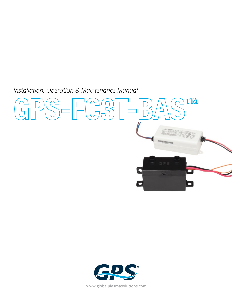*Installation, Operation & Maintenance Manual* 





**www.globalplasmasolutions.com**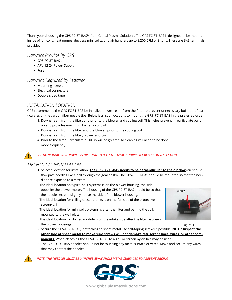Thank your choosing the GPS-FC-3T-BAS™ from Global Plasma Solutions. The GPS FC-3T-BAS is designed to be mounted inside of fan coils, heat pumps, ductless mini splits, and air handlers up to 3,200 CFM or 8 tons. There are BAS terminals provided.

### *Harware Provide by GPS*

- GPS-FC-3T-BAS unit
- APV-12-24 Power Supply
- Fuse

## *Harward Required by Installer*

- Mounting screws
- Electrical connectors
- Double sided tape

# *INSTALLATION LOCATION*

GPS recommends the GPS-FC-3T-BAS be installed downstream from the filter to prevent unnecessary build up of particulates on the carbon fiber needle tips. Below is a list of locations to mount the GPS- FC-3T-BAS in the preferred order.

- 1. Downstream from the filter, and prior to the blower and cooling coil. This helps prevent particulate build up and provides maximum bacteria control.
- 2. Downstream from the filter and the blower, prior to the cooling coil
- 3. Downstream from the filter, blower and coil,
- 4. Prior to the filter. Particulate build up will be greater, so cleaning will need to be done more frequently.

## *CAUTION: MAKE SURE POWER IS DISCONNCTED TO THE HVAC EQUIPMENT BEFORE INSTALLATION*

## *MECHANICAL INSTALLATION*

- 1. Select a location for installation. **The GPS-FC-3T-BAS needs to be perpendicular to the air flow** (air should flow past needles like a ball through the goal posts). The GPS-FC-3T-BAS should be mounted so that the needles are exposed to airstream.
- The ideal location on typical split systems is on the blower housing, the side opposite the blower motor. The housing of the GPS-FC-3T-BAS should be so that the needles extend slightly above the side of the blower housing.
- The ideal location for ceiling cassette units is on the fan side of the protective screen/ grill.
- The ideal location for mini split systems is after the filter and behind the coil, mounted to the wall plate.
- The ideal location for ducted module is on the intake side after the filter between the blower housings.
- 2. Secure the GPS-FC-3T-BAS, if attaching to sheet metal use self-taping screws if possible. **NOTE: Inspect the other side of sheet metal to make sure screws will not damage refrigerant lines, wires, or other components.** When attaching the GPS-FC-3T-BAS to a grill or screen nylon ties may be used.
- 3. The GPS-FC-3T-BAS needles should not be touching any metal surface or wires. Move and secure any wires that may contact the needles.

**!**

**!**

 *NOTE: THE NEEDLES MUST BE 2 INCHES AWAY FROM METAL SURFACES TO PREVENT ARCING*





Figure 1

**www.globalplasmasolutions.com**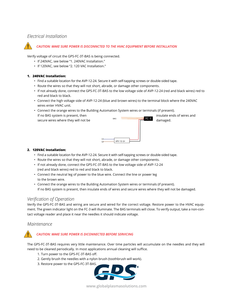# *Electrical Installation*



#### *CAUTION: MAKE SURE POWER IS DISCONNCTED TO THE HVAC EQUIPMENT BEFORE INSTALLATION*

Verify voltage of circuit the GPS-FC-3T-BAS is being connected.

- If 240VAC, see below "1. 240VAC Installation."
- If 120VAC, see below "2. 120 VAC Installation."

#### **1. 240VAC Installation:**

- Find a suitable location for the AVP-12-24. Secure it with self-tapping screws or double-sided tape.
- Route the wires so that they will not short, abrade, or damage other components.
- If not already done, connect the GPS-FC-3T-BAS to the low voltage side of AVP-12-24 (red and black wires) red to red and black to black.

APV-12-24

- Connect the high voltage side of AVP-12-24 (blue and brown wires) to the terminal block where the 240VAC wires enter HVAC unit.
- Connect the orange wires to the Building Automation System wires or terminals (if present). If no BAS system is present, then insulate ends of wires and insulate ends of wires and secure wires where they will not be  $\overline{a}$  amaged.

#### **2. 120VAC Installation:**

- Find a suitable location for the AVP-12-24. Secure it with self-tapping screws or double-sided tape.
- Route the wires so that they will not short, abrade, or damage other components.
- If not already done, connect the GPS-FC-3T-BAS to the low voltage side of AVP-12-24 (red and black wires) red to red and black to black.
- Connect the neutral leg of power to the blue wire. Connect the line or power leg to the brown wire.
- Connect the orange wires to the Building Automation System wires or terminals (if present). If no BAS system is present, then insulate ends of wires and secure wires where they will not be damaged.

### *Verification of Operation*

Verify the GPS-FC-3T-BAS and wiring are secure and wired for the correct voltage. Restore power to the HVAC equipment. The green indicator light on the FC-3 will illuminate. The BAS terminals will close. To verify output, take a non-contact voltage reader and place it near the needles it should indicate voltage.

### *Maintenance*

**!**

### *CAUTION: MAKE SURE POWER IS DICONNECTED BEFORE SERVICING*

The GPS-FC-3T-BAS requires very little maintenance. Over time particles will accumulate on the needles and they will need to be cleaned periodically. In most applications annual cleaning will suffice.

- 1. Turn power to the GPS-FC-3T-BAS off.
- 2. Gently brush the needles with a nylon brush (toothbrush will work).
- 3. Restore power to the GPS-FC-3T-BAS.